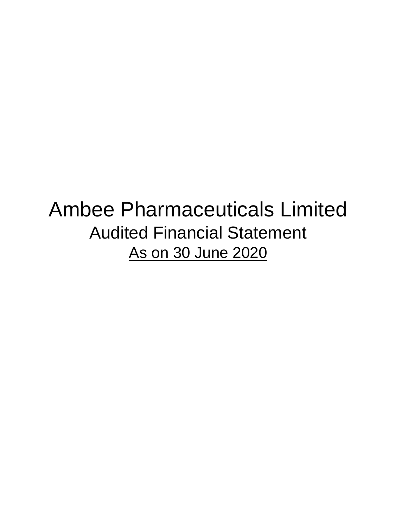# Ambee Pharmaceuticals Limited Audited Financial Statement As on 30 June 2020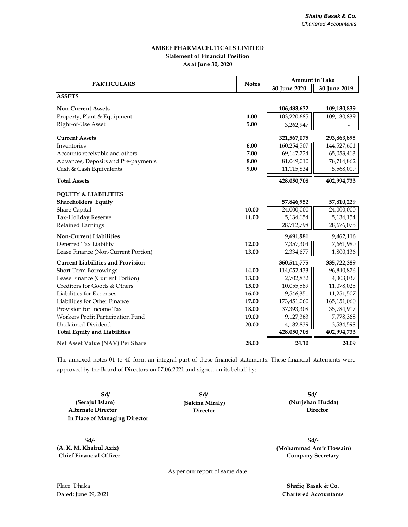# **AMBEE PHARMACEUTICALS LIMITED Statement of Financial Position As at June 30, 2020**

| <b>PARTICULARS</b>                       | <b>Notes</b> |              | <b>Amount in Taka</b> |  |
|------------------------------------------|--------------|--------------|-----------------------|--|
|                                          |              | 30-June-2020 | 30-June-2019          |  |
| <b>ASSETS</b>                            |              |              |                       |  |
| <b>Non-Current Assets</b>                |              | 106,483,632  | 109,130,839           |  |
| Property, Plant & Equipment              | 4.00         | 103,220,685  | 109,130,839           |  |
| Right-of-Use Asset                       | 5.00         | 3,262,947    |                       |  |
| <b>Current Assets</b>                    |              | 321,567,075  | 293,863,895           |  |
| Inventories                              | 6.00         | 160,254,507  | 144,527,601           |  |
| Accounts receivable and others           | 7.00         | 69,147,724   | 65,053,413            |  |
| Advances, Deposits and Pre-payments      | 8.00         | 81,049,010   | 78,714,862            |  |
| Cash & Cash Equivalents                  | 9.00         | 11,115,834   | 5,568,019             |  |
| <b>Total Assets</b>                      |              | 428,050,708  | 402,994,733           |  |
| <b>EQUITY &amp; LIABILITIES</b>          |              |              |                       |  |
| <b>Shareholders' Equity</b>              |              | 57,846,952   | 57,810,229            |  |
| Share Capital                            | 10.00        | 24,000,000   | 24,000,000            |  |
| Tax-Holiday Reserve                      | 11.00        | 5,134,154    | 5,134,154             |  |
| Retained Earnings                        |              | 28,712,798   | 28,676,075            |  |
| <b>Non-Current Liabilities</b>           |              | 9,691,981    | 9,462,116             |  |
| Deferred Tax Liability                   | 12.00        | 7,357,304    | 7,661,980             |  |
| Lease Finance (Non-Current Portion)      | 13.00        | 2,334,677    | 1,800,136             |  |
| <b>Current Liabilities and Provision</b> |              | 360,511,775  | 335,722,389           |  |
| Short Term Borrowings                    | 14.00        | 114,052,433  | 96,840,876            |  |
| Lease Finance (Current Portion)          | 13.00        | 2,702,832    | 4,303,037             |  |
| Creditors for Goods & Others             | 15.00        | 10,055,589   | 11,078,025            |  |
| Liabilities for Expenses                 | 16.00        | 9,546,351    | 11,251,507            |  |
| Liabilities for Other Finance            | 17.00        | 173,451,060  | 165,151,060           |  |
| Provision for Income Tax                 | 18.00        | 37,393,308   | 35,784,917            |  |
| Workers Profit Participation Fund        | 19.00        | 9,127,363    | 7,778,368             |  |
| <b>Unclaimed Dividend</b>                | 20.00        | 4,182,839    | 3,534,598             |  |
| <b>Total Equity and Liabilities</b>      |              | 428,050,708  | 402,994,733           |  |
| Net Asset Value (NAV) Per Share          | 28.00        | 24.10        | 24.09                 |  |

The annexed notes 01 to 40 form an integral part of these financial statements. These financial statements were approved by the Board of Directors on 07.06.2021 and signed on its behalf by:

**Sd/- Sd/- (Serajul Islam) (Sakina Miraly) (Nurjehan Hudda) Alternate Director Director Director In Place of Managing Director**

**Sd/-**

**Sd/- Chief Financial Officer Company Secretary**

**(A. K. M. Khairul Aziz) (Mohammad Amir Hossain) Sd/-**

As per our report of same date

Place: Dhaka **Shafiq Basak & Co.** Dated: June 09, 2021 **Chartered Accountants**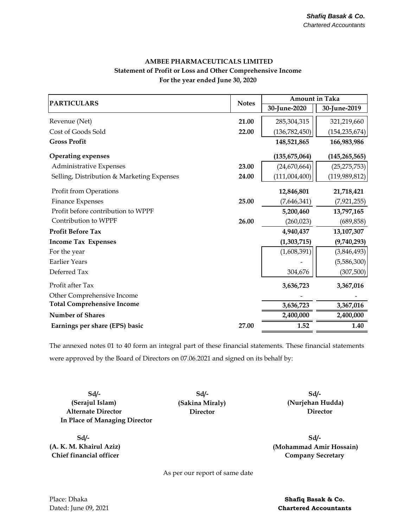# **AMBEE PHARMACEUTICALS LIMITED Statement of Profit or Loss and Other Comprehensive Income For the year ended June 30, 2020**

| <b>PARTICULARS</b>                         | <b>Notes</b> | <b>Amount in Taka</b> |                 |  |
|--------------------------------------------|--------------|-----------------------|-----------------|--|
|                                            |              | 30-June-2020          | 30-June-2019    |  |
| Revenue (Net)                              | 21.00        | 285,304,315           | 321,219,660     |  |
| Cost of Goods Sold                         | 22.00        | (136, 782, 450)       | (154, 235, 674) |  |
| <b>Gross Profit</b>                        |              | 148,521,865           | 166,983,986     |  |
| <b>Operating expenses</b>                  |              | (135, 675, 064)       | (145, 265, 565) |  |
| Administrative Expenses                    | 23.00        | (24,670,664)          | (25, 275, 753)  |  |
| Selling, Distribution & Marketing Expenses | 24.00        | (111,004,400)         | (119, 989, 812) |  |
| Profit from Operations                     |              | 12,846,801            | 21,718,421      |  |
| Finance Expenses                           | 25.00        | (7,646,341)           | (7,921,255)     |  |
| Profit before contribution to WPPF         |              | 5,200,460             | 13,797,165      |  |
| Contribution to WPPF                       | 26.00        | (260, 023)            | (689, 858)      |  |
| <b>Profit Before Tax</b>                   |              | 4,940,437             | 13,107,307      |  |
| <b>Income Tax Expenses</b>                 |              | (1,303,715)           | (9,740,293)     |  |
| For the year                               |              | (1,608,391)           | (3,846,493)     |  |
| <b>Earlier Years</b>                       |              |                       | (5,586,300)     |  |
| Deferred Tax                               |              | 304,676               | (307,500)       |  |
| Profit after Tax                           |              | 3,636,723             | 3,367,016       |  |
| Other Comprehensive Income                 |              |                       |                 |  |
| <b>Total Comprehensive Income</b>          |              | 3,636,723             | 3,367,016       |  |
| <b>Number of Shares</b>                    |              | 2,400,000             | 2,400,000       |  |
| Earnings per share (EPS) basic             | 27.00        | 1.52                  | 1.40            |  |

The annexed notes 01 to 40 form an integral part of these financial statements. These financial statements were approved by the Board of Directors on 07.06.2021 and signed on its behalf by:

**Sd/- Sd/- (Serajul Islam) (Sakina Miraly) (Nurjehan Hudda) Alternate Director Director Director In Place of Managing Director**

**Sd/-**

**Sd/-**

**(A. K. M. Khairul Aziz) (Mohammad Amir Hossain) Chief financial officer Company Secretary Sd/-**

As per our report of same date

Place: Dhaka **Shafiq Basak & Co.** Dated: June 09, 2021 **Chartered Accountants**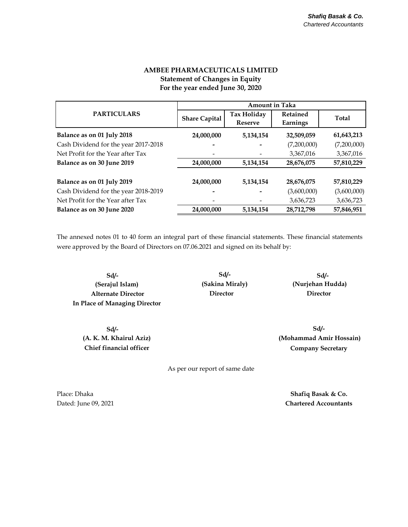# **AMBEE PHARMACEUTICALS LIMITED Statement of Changes in Equity For the year ended June 30, 2020**

|                                      | <b>Amount in Taka</b> |                                      |                             |              |
|--------------------------------------|-----------------------|--------------------------------------|-----------------------------|--------------|
| <b>PARTICULARS</b>                   | <b>Share Capital</b>  | <b>Tax Holiday</b><br><b>Reserve</b> | <b>Retained</b><br>Earnings | <b>Total</b> |
| Balance as on 01 July 2018           | 24,000,000            | 5,134,154                            | 32,509,059                  | 61,643,213   |
| Cash Dividend for the year 2017-2018 |                       |                                      | (7,200,000)                 | (7,200,000)  |
| Net Profit for the Year after Tax    |                       |                                      | 3,367,016                   | 3,367,016    |
| Balance as on 30 June 2019           | 24,000,000            | 5,134,154                            | 28,676,075                  | 57,810,229   |
| Balance as on 01 July 2019           | 24,000,000            | 5,134,154                            | 28,676,075                  | 57,810,229   |
| Cash Dividend for the year 2018-2019 |                       |                                      | (3,600,000)                 | (3,600,000)  |
| Net Profit for the Year after Tax    |                       |                                      | 3,636,723                   | 3,636,723    |
| Balance as on 30 June 2020           | 24,000,000            | 5,134,154                            | 28,712,798                  | 57,846,951   |

The annexed notes 01 to 40 form an integral part of these financial statements. These financial statements were approved by the Board of Directors on 07.06.2021 and signed on its behalf by:

**(Serajul Islam) Alternate Director In Place of Managing Director**

**Sd/- Sd/- Sd/- (Sakina Miraly) Director** 

 **(Nurjehan Hudda) Director**

**Sd/- (A. K. M. Khairul Aziz) Chief financial officer**

**Sd/- Company Secretary (Mohammad Amir Hossain)**

As per our report of same date

Place: Dhaka Dated: June 09, 2021

**Shafiq Basak & Co. Chartered Accountants**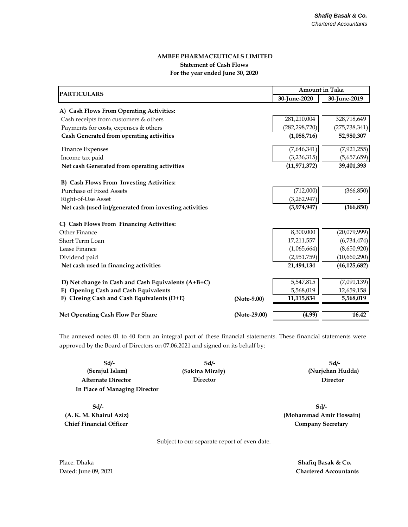# **AMBEE PHARMACEUTICALS LIMITED Statement of Cash Flows For the year ended June 30, 2020**

| <b>PARTICULARS</b>                                     |              | <b>Amount in Taka</b> |                 |
|--------------------------------------------------------|--------------|-----------------------|-----------------|
|                                                        |              | 30-June-2020          | 30-June-2019    |
| A) Cash Flows From Operating Activities:               |              |                       |                 |
| Cash receipts from customers & others                  |              | 281,210,004           | 328,718,649     |
| Payments for costs, expenses & others                  |              | (282, 298, 720)       | (275, 738, 341) |
| Cash Generated from operating activities               |              | (1,088,716)           | 52,980,307      |
| <b>Finance Expenses</b>                                |              | (7,646,341)           | (7,921,255)     |
| Income tax paid                                        |              | (3, 236, 315)         | (5,657,659)     |
| Net cash Generated from operating activities           |              | (11, 971, 372)        | 39,401,393      |
| B) Cash Flows From Investing Activities:               |              |                       |                 |
| <b>Purchase of Fixed Assets</b>                        |              | (712,000)             | (366, 850)      |
| Right-of-Use Asset                                     |              | (3,262,947)           |                 |
| Net cash (used in)/generated from investing activities |              | (3,974,947)           | (366, 850)      |
| C) Cash Flows From Financing Activities:               |              |                       |                 |
| Other Finance                                          |              | 8,300,000             | (20,079,999)    |
| Short Term Loan                                        |              | 17,211,557            | (6,734,474)     |
| Lease Finance                                          |              | (1,065,664)           | (8,650,920)     |
| Dividend paid                                          |              | (2,951,759)           | (10,660,290)    |
| Net cash used in financing activities                  |              | 21,494,134            | (46, 125, 682)  |
| D) Net change in Cash and Cash Equivalents (A+B+C)     |              | 5,547,815             | (7,091,139)     |
| E) Opening Cash and Cash Equivalents                   |              | 5,568,019             | 12,659,158      |
| F) Closing Cash and Cash Equivalents (D+E)             | (Note-9.00)  | 11,115,834            | 5,568,019       |
| Net Operating Cash Flow Per Share                      | (Note-29.00) | (4.99)                | 16.42           |

The annexed notes 01 to 40 form an integral part of these financial statements. These financial statements were approved by the Board of Directors on 07.06.2021 and signed on its behalf by:

**Sd/- Sd/- (Serajul Islam) (Nurjehan Hudda) Alternate Director Director In Place of Managing Director**

**Sd/- (A. K. M. Khairul Aziz) Chief Financial Officer**

**(Sakina Miraly) Director** 

**Sd/-**

**Sd/- (Mohammad Amir Hossain) Company Secretary**

Subject to our separate report of even date.

Place: Dhaka **Shafiq Basak & Co.**

Dated: June 09, 2021 **Chartered Accountants**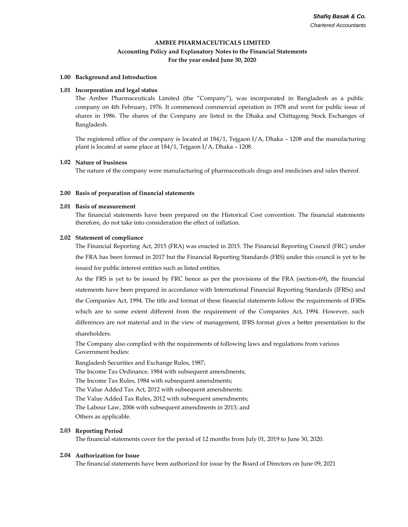# **AMBEE PHARMACEUTICALS LIMITED Accounting Policy and Explanatory Notes to the Financial Statements For the year ended June 30, 2020**

#### **1.00 Background and Introduction**

#### **1.01 Incorporation and legal status**

The Ambee Pharmaceuticals Limited (the "Company"), was incorporated in Bangladesh as a public company on 4th February, 1976. It commenced commercial operation in 1978 and went for public issue of shares in 1986. The shares of the Company are listed in the Dhaka and Chittagong Stock Exchanges of Bangladesh.

The registered office of the company is located at 184/1, Tejgaon I/A, Dhaka – 1208 and the manufacturing plant is located at same place at 184/1, Tejgaon I/A, Dhaka – 1208.

#### **1.02 Nature of business**

The nature of the company were manufacturing of pharmaceuticals drugs and medicines and sales thereof.

#### **2.00 Basis of preparation of financial statements**

#### **2.01 Basis of measurement**

The financial statements have been prepared on the Historical Cost convention. The financial statements therefore, do not take into consideration the effect of inflation.

#### **2.02 Statement of compliance**

The Financial Reporting Act, 2015 (FRA) was enacted in 2015. The Financial Reporting Council (FRC) under the FRA has been formed in 2017 but the Financial Reporting Standards (FRS) under this council is yet to be issued for public interest entities such as listed entities.

As the FRS is yet to be issued by FRC hence as per the provisions of the FRA (section-69), the financial statements have been prepared in accordance with International Financial Reporting Standards (IFRSs) and the Companies Act, 1994. The title and format of these financial statements follow the requirements of IFRSs which are to some extent different from the requirement of the Companies Act, 1994. However, such differences are not material and in the view of management, IFRS format gives a better presentation to the shareholders.

The Company also complied with the requirements of following laws and regulations from various Government bodies:

Bangladesh Securities and Exchange Rules, 1987;

The Income Tax Ordinance, 1984 with subsequent amendments;

The Income Tax Rules, 1984 with subsequent amendments;

The Value Added Tax Act, 2012 with subsequent amendments;

The Value Added Tax Rules, 2012 with subsequent amendments;

The Labour Law, 2006 with subsequent amendments in 2013; and

Others as applicable.

#### **2.03 Reporting Period**

The financial statements cover for the period of 12 months from July 01, 2019 to June 30, 2020.

#### **2.04 Authorization for Issue**

The financial statements have been authorized for issue by the Board of Directors on June 09, 2021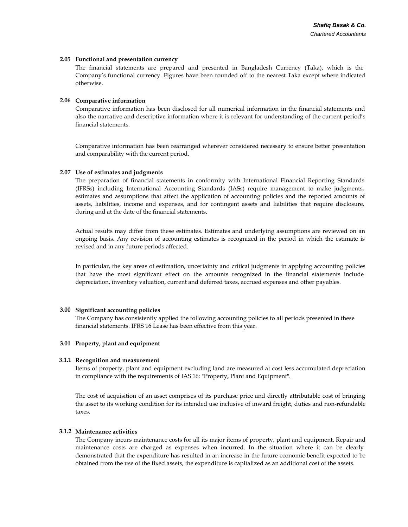#### **2.05 Functional and presentation currency**

The financial statements are prepared and presented in Bangladesh Currency (Taka), which is the Company's functional currency. Figures have been rounded off to the nearest Taka except where indicated otherwise.

#### **2.06 Comparative information**

Comparative information has been disclosed for all numerical information in the financial statements and also the narrative and descriptive information where it is relevant for understanding of the current period's financial statements.

Comparative information has been rearranged wherever considered necessary to ensure better presentation and comparability with the current period.

#### **2.07 Use of estimates and judgments**

The preparation of financial statements in conformity with International Financial Reporting Standards (IFRSs) including International Accounting Standards (IASs) require management to make judgments, estimates and assumptions that affect the application of accounting policies and the reported amounts of assets, liabilities, income and expenses, and for contingent assets and liabilities that require disclosure, during and at the date of the financial statements.

Actual results may differ from these estimates. Estimates and underlying assumptions are reviewed on an ongoing basis. Any revision of accounting estimates is recognized in the period in which the estimate is revised and in any future periods affected.

In particular, the key areas of estimation, uncertainty and critical judgments in applying accounting policies that have the most significant effect on the amounts recognized in the financial statements include depreciation, inventory valuation, current and deferred taxes, accrued expenses and other payables.

#### **3.00 Significant accounting policies**

The Company has consistently applied the following accounting policies to all periods presented in these financial statements. IFRS 16 Lease has been effective from this year.

#### **3.01 Property, plant and equipment**

#### **3.1.1 Recognition and measurement**

Items of property, plant and equipment excluding land are measured at cost less accumulated depreciation in compliance with the requirements of IAS 16: "Property, Plant and Equipment".

The cost of acquisition of an asset comprises of its purchase price and directly attributable cost of bringing the asset to its working condition for its intended use inclusive of inward freight, duties and non-refundable taxes.

#### **3.1.2 Maintenance activities**

The Company incurs maintenance costs for all its major items of property, plant and equipment. Repair and maintenance costs are charged as expenses when incurred. In the situation where it can be clearly demonstrated that the expenditure has resulted in an increase in the future economic benefit expected to be obtained from the use of the fixed assets, the expenditure is capitalized as an additional cost of the assets.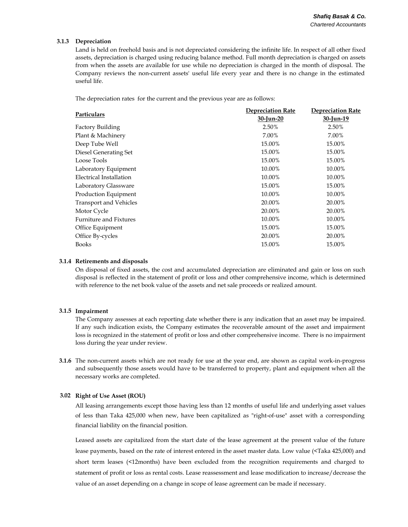#### **3.1.3 Depreciation**

Land is held on freehold basis and is not depreciated considering the infinite life. In respect of all other fixed assets, depreciation is charged using reducing balance method. Full month depreciation is charged on assets from when the assets are available for use while no depreciation is charged in the month of disposal. The Company reviews the non-current assets' useful life every year and there is no change in the estimated useful life.

The depreciation rates for the current and the previous year are as follows:

|                               | <b>Depreciation Rate</b> | <b>Depreciation Rate</b> |
|-------------------------------|--------------------------|--------------------------|
| Particulars                   | 30-Jun-20                | 30-Jun-19                |
| Factory Building              | 2.50%                    | 2.50%                    |
| Plant & Machinery             | 7.00%                    | 7.00%                    |
| Deep Tube Well                | 15.00%                   | 15.00%                   |
| Diesel Generating Set         | 15.00%                   | 15.00%                   |
| Loose Tools                   | 15.00%                   | 15.00%                   |
| Laboratory Equipment          | 10.00%                   | 10.00%                   |
| Electrical Installation       | 10.00%                   | 10.00%                   |
| Laboratory Glassware          | 15.00%                   | 15.00%                   |
| Production Equipment          | 10.00%                   | 10.00%                   |
| <b>Transport and Vehicles</b> | 20.00%                   | 20.00%                   |
| Motor Cycle                   | 20.00%                   | 20.00%                   |
| <b>Furniture and Fixtures</b> | 10.00%                   | 10.00%                   |
| Office Equipment              | 15.00%                   | 15.00%                   |
| Office By-cycles              | 20.00%                   | 20.00%                   |
| <b>Books</b>                  | 15.00%                   | 15.00%                   |
|                               |                          |                          |

#### **3.1.4 Retirements and disposals**

On disposal of fixed assets, the cost and accumulated depreciation are eliminated and gain or loss on such disposal is reflected in the statement of profit or loss and other comprehensive income, which is determined with reference to the net book value of the assets and net sale proceeds or realized amount.

#### **3.1.5 Impairment**

The Company assesses at each reporting date whether there is any indication that an asset may be impaired. If any such indication exists, the Company estimates the recoverable amount of the asset and impairment loss is recognized in the statement of profit or loss and other comprehensive income. There is no impairment loss during the year under review.

**3.1.6** The non-current assets which are not ready for use at the year end, are shown as capital work-in-progress and subsequently those assets would have to be transferred to property, plant and equipment when all the necessary works are completed.

#### **3.02 Right of Use Asset (ROU)**

All leasing arrangements except those having less than 12 months of useful life and underlying asset values of less than Taka 425,000 when new, have been capitalized as "right-of-use" asset with a corresponding financial liability on the financial position.

Leased assets are capitalized from the start date of the lease agreement at the present value of the future lease payments, based on the rate of interest entered in the asset master data. Low value (<Taka 425,000) and short term leases (<12months) have been excluded from the recognition requirements and charged to statement of profit or loss as rental costs. Lease reassessment and lease modification to increase/decrease the value of an asset depending on a change in scope of lease agreement can be made if necessary.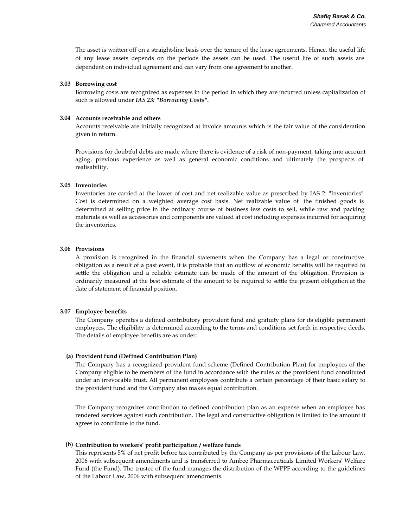The asset is written off on a straight-line basis over the tenure of the lease agreements. Hence, the useful life of any lease assets depends on the periods the assets can be used. The useful life of such assets are dependent on individual agreement and can vary from one agreement to another.

#### **3.03 Borrowing cost**

Borrowing costs are recognized as expenses in the period in which they are incurred unless capitalization of such is allowed under *IAS 23: "Borrowing Costs".*

#### **3.04 Accounts receivable and others**

Accounts receivable are initially recognized at invoice amounts which is the fair value of the consideration given in return.

Provisions for doubtful debts are made where there is evidence of a risk of non-payment, taking into account aging, previous experience as well as general economic conditions and ultimately the prospects of realisability.

#### **3.05 Inventories**

Inventories are carried at the lower of cost and net realizable value as prescribed by IAS 2: "Inventories". Cost is determined on a weighted average cost basis. Net realizable value of the finished goods is determined at selling price in the ordinary course of business less costs to sell, while raw and packing materials as well as accessories and components are valued at cost including expenses incurred for acquiring the inventories.

#### **3.06 Provisions**

A provision is recognized in the financial statements when the Company has a legal or constructive obligation as a result of a past event, it is probable that an outflow of economic benefits will be required to settle the obligation and a reliable estimate can be made of the amount of the obligation. Provision is ordinarily measured at the best estimate of the amount to be required to settle the present obligation at the date of statement of financial position.

#### **3.07 Employee benefits**

The Company operates a defined contributory provident fund and gratuity plans for its eligible permanent employees. The eligibility is determined according to the terms and conditions set forth in respective deeds. The details of employee benefits are as under:

#### **(a) Provident fund (Defined Contribution Plan)**

The Company has a recognized provident fund scheme (Defined Contribution Plan) for employees of the Company eligible to be members of the fund in accordance with the rules of the provident fund constituted under an irrevocable trust. All permanent employees contribute a certain percentage of their basic salary to the provident fund and the Company also makes equal contribution.

The Company recognizes contribution to defined contribution plan as an expense when an employee has rendered services against such contribution. The legal and constructive obligation is limited to the amount it agrees to contribute to the fund.

#### **(b) Contribution to workers' profit participation / welfare funds**

This represents 5% of net profit before tax contributed by the Company as per provisions of the Labour Law, 2006 with subsequent amendments and is transferred to Ambee Pharmaceuticals Limited Workers' Welfare Fund (the Fund). The trustee of the fund manages the distribution of the WPPF according to the guidelines of the Labour Law, 2006 with subsequent amendments.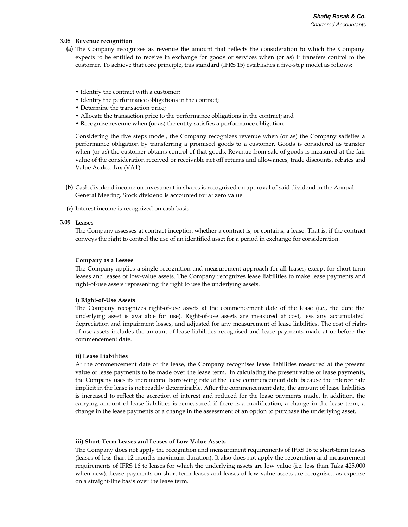#### **3.08 Revenue recognition**

- **(a)** The Company recognizes as revenue the amount that reflects the consideration to which the Company expects to be entitled to receive in exchange for goods or services when (or as) it transfers control to the customer. To achieve that core principle, this standard (IFRS 15) establishes a five-step model as follows:
	- Identify the contract with a customer;
	- Identify the performance obligations in the contract;
	- Determine the transaction price;
	- Allocate the transaction price to the performance obligations in the contract; and
	- Recognize revenue when (or as) the entity satisfies a performance obligation.

Considering the five steps model, the Company recognizes revenue when (or as) the Company satisfies a performance obligation by transferring a promised goods to a customer. Goods is considered as transfer when (or as) the customer obtains control of that goods. Revenue from sale of goods is measured at the fair value of the consideration received or receivable net off returns and allowances, trade discounts, rebates and Value Added Tax (VAT).

- **(b)** Cash dividend income on investment in shares is recognized on approval of said dividend in the Annual General Meeting. Stock dividend is accounted for at zero value.
- **(c)** Interest income is recognized on cash basis.

#### **3.09 Leases**

The Company assesses at contract inception whether a contract is, or contains, a lease. That is, if the contract conveys the right to control the use of an identified asset for a period in exchange for consideration.

#### **Company as a Lessee**

The Company applies a single recognition and measurement approach for all leases, except for short-term leases and leases of low-value assets. The Company recognizes lease liabilities to make lease payments and right-of-use assets representing the right to use the underlying assets.

#### **i) Right-of-Use Assets**

The Company recognizes right-of-use assets at the commencement date of the lease (i.e., the date the underlying asset is available for use). Right-of-use assets are measured at cost, less any accumulated depreciation and impairment losses, and adjusted for any measurement of lease liabilities. The cost of rightof-use assets includes the amount of lease liabilities recognised and lease payments made at or before the commencement date.

#### **ii) Lease Liabilities**

At the commencement date of the lease, the Company recognises lease liabilities measured at the present value of lease payments to be made over the lease term. In calculating the present value of lease payments, the Company uses its incremental borrowing rate at the lease commencement date because the interest rate implicit in the lease is not readily determinable. After the commencement date, the amount of lease liabilities is increased to reflect the accretion of interest and reduced for the lease payments made. In addition, the carrying amount of lease liabilities is remeasured if there is a modification, a change in the lease term, a change in the lease payments or a change in the assessment of an option to purchase the underlying asset.

#### **iii) Short-Term Leases and Leases of Low-Value Assets**

The Company does not apply the recognition and measurement requirements of IFRS 16 to short-term leases (leases of less than 12 months maximum duration). It also does not apply the recognition and measurement requirements of IFRS 16 to leases for which the underlying assets are low value (i.e. less than Taka 425,000 when new). Lease payments on short-term leases and leases of low-value assets are recognised as expense on a straight-line basis over the lease term.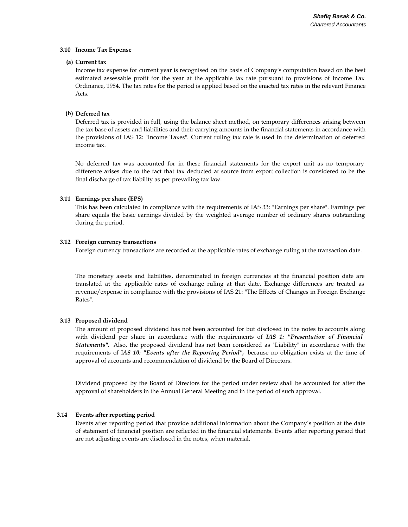#### **3.10 Income Tax Expense**

#### **(a) Current tax**

Income tax expense for current year is recognised on the basis of Company's computation based on the best estimated assessable profit for the year at the applicable tax rate pursuant to provisions of Income Tax Ordinance, 1984. The tax rates for the period is applied based on the enacted tax rates in the relevant Finance Acts.

#### **(b) Deferred tax**

Deferred tax is provided in full, using the balance sheet method, on temporary differences arising between the tax base of assets and liabilities and their carrying amounts in the financial statements in accordance with the provisions of IAS 12: "Income Taxes". Current ruling tax rate is used in the determination of deferred income tax.

No deferred tax was accounted for in these financial statements for the export unit as no temporary difference arises due to the fact that tax deducted at source from export collection is considered to be the final discharge of tax liability as per prevailing tax law.

#### **3.11 Earnings per share (EPS)**

This has been calculated in compliance with the requirements of IAS 33: "Earnings per share". Earnings per share equals the basic earnings divided by the weighted average number of ordinary shares outstanding during the period.

#### **3.12 Foreign currency transactions**

Foreign currency transactions are recorded at the applicable rates of exchange ruling at the transaction date.

The monetary assets and liabilities, denominated in foreign currencies at the financial position date are translated at the applicable rates of exchange ruling at that date. Exchange differences are treated as revenue/expense in compliance with the provisions of IAS 21: "The Effects of Changes in Foreign Exchange Rates".

#### **3.13 Proposed dividend**

The amount of proposed dividend has not been accounted for but disclosed in the notes to accounts along with dividend per share in accordance with the requirements of *IAS 1: "Presentation of Financial Statements".* Also, the proposed dividend has not been considered as "Liability" in accordance with the requirements of I*AS 10: "Events after the Reporting Period",* because no obligation exists at the time of approval of accounts and recommendation of dividend by the Board of Directors.

Dividend proposed by the Board of Directors for the period under review shall be accounted for after the approval of shareholders in the Annual General Meeting and in the period of such approval.

#### **3.14 Events after reporting period**

Events after reporting period that provide additional information about the Company's position at the date of statement of financial position are reflected in the financial statements. Events after reporting period that are not adjusting events are disclosed in the notes, when material.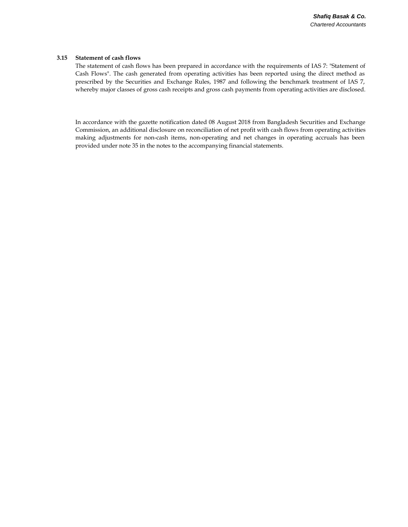#### **3.15 Statement of cash flows**

The statement of cash flows has been prepared in accordance with the requirements of IAS 7: "Statement of Cash Flows". The cash generated from operating activities has been reported using the direct method as prescribed by the Securities and Exchange Rules, 1987 and following the benchmark treatment of IAS 7, whereby major classes of gross cash receipts and gross cash payments from operating activities are disclosed.

In accordance with the gazette notification dated 08 August 2018 from Bangladesh Securities and Exchange Commission, an additional disclosure on reconciliation of net profit with cash flows from operating activities making adjustments for non-cash items, non-operating and net changes in operating accruals has been provided under note 35 in the notes to the accompanying financial statements.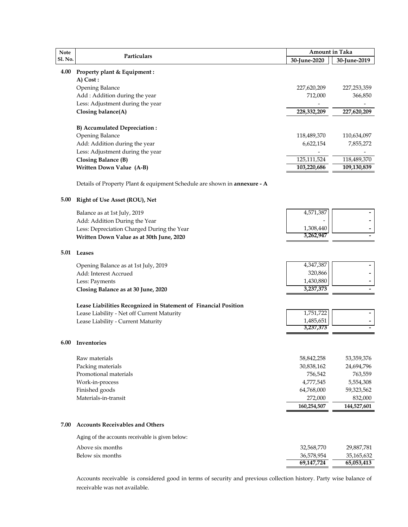| <b>Note</b>    | Particulars                                                              | <b>Amount in Taka</b> |               |
|----------------|--------------------------------------------------------------------------|-----------------------|---------------|
| <b>Sl. No.</b> |                                                                          | 30-June-2020          | 30-June-2019  |
| 4.00           | Property plant & Equipment:                                              |                       |               |
|                | A) Cost:                                                                 |                       |               |
|                | Opening Balance                                                          | 227,620,209           | 227, 253, 359 |
|                | Add: Addition during the year                                            | 712,000               | 366,850       |
|                | Less: Adjustment during the year                                         |                       |               |
|                | Closing balance(A)                                                       | 228,332,209           | 227,620,209   |
|                |                                                                          |                       |               |
|                | <b>B)</b> Accumulated Depreciation:                                      |                       |               |
|                | <b>Opening Balance</b>                                                   | 118,489,370           | 110,634,097   |
|                | Add: Addition during the year                                            | 6,622,154             | 7,855,272     |
|                | Less: Adjustment during the year                                         |                       |               |
|                | <b>Closing Balance (B)</b>                                               | 125,111,524           | 118,489,370   |
|                | Written Down Value (A-B)                                                 | 103,220,686           | 109,130,839   |
|                | Details of Property Plant & equipment Schedule are shown in annexure - A |                       |               |
|                |                                                                          |                       |               |
| 5.00           | Right of Use Asset (ROU), Net                                            |                       |               |
|                | Balance as at 1st July, 2019                                             | 4,571,387             |               |
|                | Add: Addition During the Year                                            |                       |               |
|                | Less: Depreciation Charged During the Year                               | 1,308,440             |               |
|                | Written Down Value as at 30th June, 2020                                 | 3,262,947             |               |
| 5.01           | Leases                                                                   |                       |               |
|                | Opening Balance as at 1st July, 2019                                     | 4,347,387             |               |
|                | Add: Interest Accrued                                                    | 320,866               |               |
|                | Less: Payments                                                           | 1,430,880             |               |
|                | Closing Balance as at 30 June, 2020                                      | 3,237,373             |               |
|                | Lease Liabilities Recognized in Statement of Financial Position          |                       |               |
|                | Lease Liability - Net off Current Maturity                               | 1,751,722             |               |
|                | Lease Liability - Current Maturity                                       | 1,485,651             |               |
|                |                                                                          | 3,237,373             |               |
| 6.00           | Inventories                                                              |                       |               |
|                |                                                                          |                       |               |
|                | Raw materials                                                            | 58,842,258            | 53,359,376    |
|                | Packing materials                                                        | 30,838,162            | 24,694,796    |
|                | Promotional materials                                                    | 756,542               | 763,559       |
|                | Work-in-process                                                          | 4,777,545             | 5,554,308     |
|                | Finished goods                                                           | 64,768,000            | 59,323,562    |
|                | Materials-in-transit                                                     | 272,000               | 832,000       |
|                |                                                                          | 160,254,507           | 144,527,601   |
| 7.00           | <b>Accounts Receivables and Others</b>                                   |                       |               |
|                | Aging of the accounts receivable is given below:                         |                       |               |
|                | Above six months                                                         | 32,568,770            | 29,887,781    |
|                | Below six months                                                         | 36,578,954            | 35,165,632    |
|                |                                                                          | 69,147,724            | 65,053,413    |
|                |                                                                          |                       |               |

Accounts receivable is considered good in terms of security and previous collection history. Party wise balance of receivable was not available.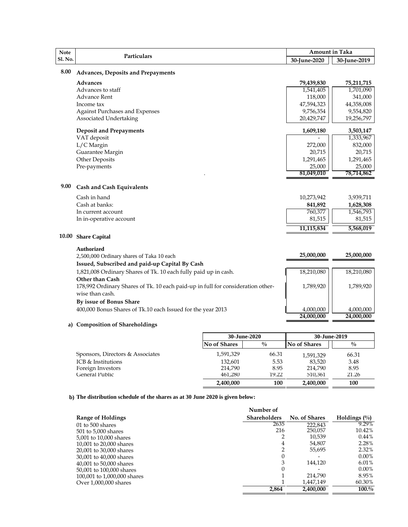| <b>Note</b>    | Particulars                                                                     | <b>Amount in Taka</b> |              |
|----------------|---------------------------------------------------------------------------------|-----------------------|--------------|
| <b>Sl. No.</b> |                                                                                 | 30-June-2020          | 30-June-2019 |
| 8.00           | <b>Advances, Deposits and Prepayments</b>                                       |                       |              |
|                | <b>Advances</b>                                                                 | 79,439,830            | 75,211,715   |
|                | Advances to staff                                                               | 1,541,405             | 1,701,090    |
|                | <b>Advance Rent</b>                                                             | 118,000               | 341,000      |
|                | Income tax                                                                      | 47,594,323            | 44,358,008   |
|                | Against Purchases and Expenses                                                  | 9,756,354             | 9,554,820    |
|                | Associated Undertaking                                                          | 20,429,747            | 19,256,797   |
|                | <b>Deposit and Prepayments</b>                                                  | 1,609,180             | 3,503,147    |
|                | VAT deposit                                                                     |                       | 1,333,967    |
|                | L/C Margin                                                                      | 272,000               | 832,000      |
|                | Guarantee Margin                                                                | 20,715                | 20,715       |
|                | <b>Other Deposits</b>                                                           | 1,291,465             | 1,291,465    |
|                | Pre-payments                                                                    | 25,000                | 25,000       |
|                |                                                                                 | 81,049,010            | 78,714,862   |
| 9.00           | <b>Cash and Cash Equivalents</b>                                                |                       |              |
|                | Cash in hand                                                                    | 10,273,942            | 3,939,711    |
|                | Cash at banks:                                                                  | 841,892               | 1,628,308    |
|                | In current account                                                              | 760,377               | 1,546,793    |
|                | In in-operative account                                                         | 81,515                | 81,515       |
|                |                                                                                 | 11,115,834            | 5,568,019    |
| 10.00          | <b>Share Capital</b>                                                            |                       |              |
|                | <b>Authorized</b>                                                               |                       |              |
|                | 2,500,000 Ordinary shares of Taka 10 each                                       | 25,000,000            | 25,000,000   |
|                | Issued, Subscribed and paid-up Capital By Cash                                  |                       |              |
|                | 1,821,008 Ordinary Shares of Tk. 10 each fully paid up in cash.                 | 18,210,080            | 18,210,080   |
|                | Other than Cash                                                                 |                       |              |
|                | 178,992 Ordinary Shares of Tk. 10 each paid-up in full for consideration other- | 1,789,920             | 1,789,920    |
|                | wise than cash.                                                                 |                       |              |
|                | By issue of Bonus Share                                                         |                       |              |
|                | 400,000 Bonus Shares of Tk.10 each Issued for the year 2013                     | 4,000,000             | 4,000,000    |
|                |                                                                                 | 24,000,000            | 24,000,000   |
|                | a) Composition of Shareholdings                                                 |                       |              |
|                |                                                                                 |                       |              |

|                                  | 30-June-2020 |               | 30-June-2019 |               |
|----------------------------------|--------------|---------------|--------------|---------------|
|                                  | No of Shares | $\frac{0}{0}$ | No of Shares | $\frac{0}{0}$ |
| Sponsors, Directors & Associates | 1,591,329    | 66.31         | 1,591,329    | 66.31         |
| ICB & Institutions               | 132.601      | 5.53          | 83.520       | 3.48          |
| Foreign Investors                | 214,790      | 8.95          | 214,790      | 8.95          |
| General Public                   | 461.280      | 19.22         | 510.361      | 21.26         |
|                                  | 2,400,000    | 100           | 2,400,000    | 100           |

#### **b) The distribution schedule of the shares as at 30 June 2020 is given below:**

|                             | Number of           |               |                |
|-----------------------------|---------------------|---------------|----------------|
| <b>Range of Holdings</b>    | <b>Shareholders</b> | No. of Shares | Holdings $(\%$ |
| $01$ to $500$ shares        | 2635                | 222,843       | 9.29%          |
| 501 to 5,000 shares         | 216                 | 250.057       | 10.42%         |
| 5,001 to 10,000 shares      | 2                   | 10.539        | $0.44\%$       |
| 10,001 to 20,000 shares     | 4                   | 54,807        | 2.28%          |
| 20,001 to 30,000 shares     | 2                   | 55,695        | 2.32%          |
| 30,001 to 40,000 shares     | 0                   |               | $0.00\%$       |
| 40,001 to 50,000 shares     | 3                   | 144,120       | $6.01\%$       |
| 50,001 to 100,000 shares    | 0                   |               | $0.00\%$       |
| 100,001 to 1,000,000 shares |                     | 214,790       | 8.95%          |
| Over 1,000,000 shares       |                     | 1.447.149     | 60.30%         |
|                             | 2.864               | 2.400.000     | 100.%          |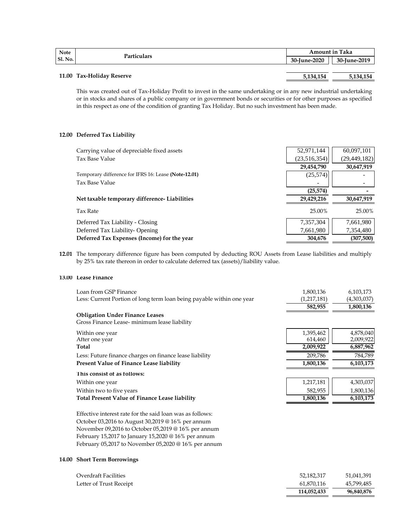| <b>Note</b>    | <b>Particulars</b>        | <b>Amount in Taka</b> |              |
|----------------|---------------------------|-----------------------|--------------|
| <b>Sl. No.</b> |                           | <b>30-June-2020</b>   | 30-June-2019 |
|                |                           |                       |              |
|                | 11.00 Tax-Holiday Reserve | 5,134,154             | 5,134,154    |

This was created out of Tax-Holiday Profit to invest in the same undertaking or in any new industrial undertaking or in stocks and shares of a public company or in government bonds or securities or for other purposes as specified in this respect as one of the condition of granting Tax Holiday. But no such investment has been made.

#### **12.00 Deferred Tax Liability**

| Carrying value of depreciable fixed assets           | 52,971,144   | 60,097,101     |
|------------------------------------------------------|--------------|----------------|
| Tax Base Value                                       | (23,516,354) | (29, 449, 182) |
|                                                      | 29,454,790   | 30,647,919     |
| Temporary difference for IFRS 16: Lease (Note-12.01) | (25,574)     |                |
| Tax Base Value                                       |              |                |
|                                                      | (25, 574)    |                |
| Net taxable temporary difference-Liabilities         | 29,429,216   | 30,647,919     |
| Tax Rate                                             | 25.00%       | 25.00%         |
| Deferred Tax Liability - Closing                     | 7,357,304    | 7,661,980      |
| Deferred Tax Liability-Opening                       | 7,661,980    | 7,354,480      |
| Deferred Tax Expenses (Income) for the year          | 304,676      | (307,500)      |

**12.01** The temporary difference figure has been computed by deducting ROU Assets from Lease liabilities and multiply by 25% tax rate thereon in order to calculate deferred tax (assets)/liability value.

#### **13.00 Lease Finance**

| Loan from GSP Finance                                                 | 1,800,136   | 6,103,173   |
|-----------------------------------------------------------------------|-------------|-------------|
| Less: Current Portion of long term loan being payable within one year | (1,217,181) | (4,303,037) |
|                                                                       | 582,955     | 1,800,136   |
| <b>Obligation Under Finance Leases</b>                                |             |             |
| Gross Finance Lease-minimum lease liability                           |             |             |
| Within one year                                                       | 1,395,462   | 4,878,040   |
| After one year                                                        | 614,460     | 2,009,922   |
| Total                                                                 | 2,009,922   | 6,887,962   |
| Less: Future finance charges on finance lease liability               | 209,786     | 784,789     |
| <b>Present Value of Finance Lease liability</b>                       | 1,800,136   | 6,103,173   |
| This consist of as follows:                                           |             |             |
| Within one year                                                       | 1,217,181   | 4,303,037   |
| Within two to five years                                              | 582,955     | 1,800,136   |
| <b>Total Present Value of Finance Lease liability</b>                 | 1,800,136   | 6,103,173   |
|                                                                       |             |             |
| Effective interest rate for the said loan was as follows:             |             |             |
| October 03,2016 to August 30,2019 @ 16% per annum                     |             |             |
|                                                                       |             |             |

November 09,2016 to October 05,2019 @ 16% per annum February 15,2017 to January 15,2020 @ 16% per annum February 05,2017 to November 05,2020 @ 16% per annum

#### **14.00 Short Term Borrowings**

| Letter of Trust Receipt | 61.870.116  | 45.799.485 |
|-------------------------|-------------|------------|
|                         | 114,052,433 | 96,840,876 |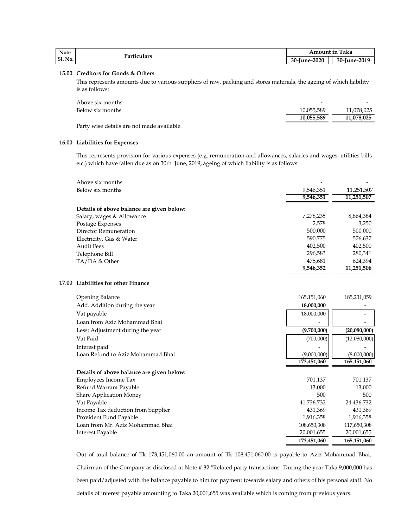| <b>Note</b>    | Particulars | Amount ın    | Taka         |
|----------------|-------------|--------------|--------------|
| <b>Sl. No.</b> |             | 30-June-2020 | 30-June-2019 |

#### **15.00 Creditors for Goods & Others**

This represents amounts due to various suppliers of raw, packing and stores materials, the ageing of which liability is as follows:

| Above six months                           |            |            |
|--------------------------------------------|------------|------------|
| Below six months                           | 10.055.589 | 11.078.025 |
|                                            | 10.055.589 | 11.078.025 |
| Party wise details are not made available. |            |            |

# **16.00 Liabilities for Expenses**

This represents provision for various expenses (e.g. remuneration and allowances, salaries and wages, utilities bills etc.) which have fallen due as on 30th June, 2019, ageing of which liability is as follows

| Above six months                          |           |            |
|-------------------------------------------|-----------|------------|
| Below six months                          | 9,546,351 | 11,251,507 |
|                                           | 9,546,351 | 11,251,507 |
| Details of above balance are given below: |           |            |
| Salary, wages & Allowance                 | 7,278,235 | 8,864,384  |
| Postage Expenses                          | 2,578     | 3,250      |
| Director Remuneration                     | 500,000   | 500,000    |
| Electricity, Gas & Water                  | 590,775   | 576,637    |
| Audit Fees                                | 402,500   | 402,500    |
| Telephone Bill                            | 296,583   | 280,341    |
| TA/DA & Other                             | 475,681   | 624,394    |
|                                           | 9,546,352 | 11,251,506 |

#### **17.00 Liabilities for other Finance**

| Opening Balance                           | 165,151,060 | 185,231,059  |
|-------------------------------------------|-------------|--------------|
| Add. Addition during the year             | 18,000,000  |              |
| Vat payable                               | 18,000,000  |              |
| Loan from Aziz Mohammad Bhai              |             |              |
| Less: Adjustment during the year          | (9,700,000) | (20,080,000) |
| Vat Paid                                  | (700,000)   | (12,080,000) |
| Interest paid                             |             |              |
| Loan Refund to Aziz Mohammad Bhai         | (9,000,000) | (8,000,000)  |
|                                           | 173,451,060 | 165,151,060  |
| Details of above balance are given below: |             |              |
| Employees Income Tax                      | 701,137     | 701,137      |
| Refund Warrant Payable                    | 13,000      | 13,000       |
| <b>Share Application Money</b>            | 500         | 500          |
| Vat Payable                               | 41,736,732  | 24,436,732   |
| Income Tax deduction from Supplier        | 431,369     | 431,369      |
| Provident Fund Payable                    | 1,916,358   | 1,916,358    |
| Loan from Mr. Aziz Mohammad Bhai          | 108,650,308 | 117,650,308  |
| Interest Payable                          | 20,001,655  | 20,001,655   |
|                                           | 173.451.060 | 165.151.060  |

Out of total balance of Tk 173,451,060.00 an amount of Tk 108,451,060.00 is payable to Aziz Mohammad Bhai, Chairman of the Company as disclosed at Note # 32 "Related party transactions" During the year Taka 9,000,000 has been paid/adjusted with the balance payable to him for payment towards salary and others of his personal staff. No details of interest payable amounting to Taka 20,001,655 was available which is coming from previous years.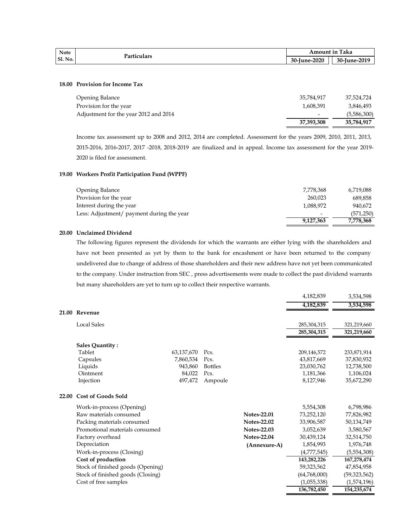| <b>Note</b>    | Particulars | Amount in '  | Taka         |
|----------------|-------------|--------------|--------------|
| <b>Sl. No.</b> |             | 30-June-2020 | 30-June-2019 |

#### **18.00 Provision for Income Tax**

|                                       | 37,393,308 | 35.784.917  |
|---------------------------------------|------------|-------------|
| Adjustment for the year 2012 and 2014 | -          | (5,586,300) |
| Provision for the year                | 1,608,391  | 3.846.493   |
| Opening Balance                       | 35.784.917 | 37,524,724  |

Income tax assessment up to 2008 and 2012, 2014 are completed. Assessment for the years 2009, 2010, 2011, 2013, 2015-2016, 2016-2017, 2017 -2018, 2018-2019 are finalized and in appeal. Income tax assessment for the year 2019- 2020 is filed for assessment.

#### **19.00 Workers Profit Participation Fund (WPPF)**

| <b>Opening Balance</b>                    | 7,778,368                | 6,719,088 |
|-------------------------------------------|--------------------------|-----------|
| Provision for the year                    | 260.023                  | 689,858   |
| Interest during the year                  | 1,088,972                | 940.672   |
| Less: Adjustment/ payment during the year | $\overline{\phantom{a}}$ | (571,250) |
|                                           | 9,127,363                | 7,778,368 |

### **20.00 Unclaimed Dividend**

The following figures represent the dividends for which the warrants are either lying with the shareholders and have not been presented as yet by them to the bank for encashment or have been returned to the company undelivered due to change of address of those shareholders and their new address have not yet been communicated to the company. Under instruction from SEC , press advertisements were made to collect the past dividend warrants but many shareholders are yet to turn up to collect their respective warrants.

|       |                                   |            |                |                    | 4,182,839    | 3,534,598      |
|-------|-----------------------------------|------------|----------------|--------------------|--------------|----------------|
|       |                                   |            |                |                    | 4,182,839    | 3,534,598      |
|       | 21.00 Revenue                     |            |                |                    |              |                |
|       | <b>Local Sales</b>                |            |                |                    | 285,304,315  | 321,219,660    |
|       |                                   |            |                |                    | 285,304,315  | 321,219,660    |
|       | <b>Sales Quantity:</b>            |            |                |                    |              |                |
|       | Tablet                            | 63,137,670 | Pcs.           |                    | 209,146,572  | 233,871,914    |
|       | Capsules                          | 7,860,534  | Pcs.           |                    | 43,817,669   | 37,830,932     |
|       | Liquids                           | 943,860    | <b>Bottles</b> |                    | 23,030,762   | 12,738,500     |
|       | Ointment                          | 84,022     | Pcs.           |                    | 1,181,366    | 1,106,024      |
|       | Injection                         | 497,472    | Ampoule        |                    | 8,127,946    | 35,672,290     |
| 22.00 | <b>Cost of Goods Sold</b>         |            |                |                    |              |                |
|       | Work-in-process (Opening)         |            |                |                    | 5,554,308    | 6,798,986      |
|       | Raw materials consumed            |            |                | <b>Notes-22.01</b> | 73,252,120   | 77,826,982     |
|       | Packing materials consumed        |            |                | <b>Notes-22.02</b> | 33,906,587   | 50,134,749     |
|       | Promotional materials consumed    |            |                | <b>Notes-22.03</b> | 3,052,639    | 3,580,567      |
|       | Factory overhead                  |            |                | <b>Notes-22.04</b> | 30,439,124   | 32,514,750     |
|       | Depreciation                      |            |                | (Annexure-A)       | 1,854,993    | 1,976,748      |
|       | Work-in-process (Closing)         |            |                |                    | (4,777,545)  | (5,554,308)    |
|       | Cost of production                |            |                |                    | 143,282,226  | 167,278,474    |
|       | Stock of finished goods (Opening) |            |                |                    | 59,323,562   | 47,854,958     |
|       | Stock of finished goods (Closing) |            |                |                    | (64,768,000) | (59, 323, 562) |
|       | Cost of free samples              |            |                |                    | (1,055,338)  | (1,574,196)    |
|       |                                   |            |                |                    | 136,782,450  | 154,235,674    |
|       |                                   |            |                |                    |              |                |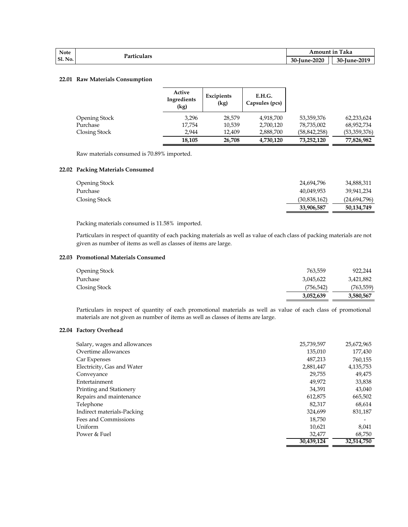| Note    | <b>Particulars</b> |              | <b>Amount in Taka</b> |
|---------|--------------------|--------------|-----------------------|
| Sl. No. |                    | 30-June-2020 | 30-June-2019          |

#### **22.01 Raw Materials Consumption**

|                      | Active<br>Ingredients<br>(kg) | Excipients<br>(kg) | E.H.G.<br>Capsules (pcs) |                |              |
|----------------------|-------------------------------|--------------------|--------------------------|----------------|--------------|
| <b>Opening Stock</b> | 3.296                         | 28,579             | 4,918,700                | 53,359,376     | 62,233,624   |
| Purchase             | 17,754                        | 10,539             | 2,700,120                | 78,735,002     | 68,952,734   |
| Closing Stock        | 2.944                         | 12.409             | 2,888,700                | (58, 842, 258) | (53,359,376) |
|                      | 18,105                        | 26,708             | 4,730,120                | 73,252,120     | 77,826,982   |

Raw materials consumed is 70.89% imported.

#### **22.02 Packing Materials Consumed**

| <b>Opening Stock</b> | 24,694,796   | 34,888,311   |
|----------------------|--------------|--------------|
| Purchase             | 40.049.953   | 39,941,234   |
| Closing Stock        | (30,838,162) | (24,694,796) |
|                      | 33,906,587   | 50,134,749   |

Packing materials consumed is 11.58% imported.

Particulars in respect of quantity of each packing materials as well as value of each class of packing materials are not given as number of items as well as classes of items are large.

# **22.03 Promotional Materials Consumed**

| <b>Opening Stock</b> | 763.559    | 922.244    |
|----------------------|------------|------------|
| Purchase             | 3.045.622  | 3,421,882  |
| Closing Stock        | (756, 542) | (763, 559) |
|                      | 3,052,639  | 3,580,567  |

Particulars in respect of quantity of each promotional materials as well as value of each class of promotional materials are not given as number of items as well as classes of items are large.

#### **22.04 Factory Overhead**

| Salary, wages and allowances | 25.739.597 | 25,672,965 |
|------------------------------|------------|------------|
| Overtime allowances          | 135,010    | 177,430    |
| Car Expenses                 | 487,213    | 760,155    |
| Electricity, Gas and Water   | 2,881,447  | 4,135,753  |
| Conveyance                   | 29.755     | 49,475     |
| Entertainment                | 49.972     | 33,838     |
| Printing and Stationery      | 34,391     | 43,040     |
| Repairs and maintenance      | 612,875    | 665,502    |
| Telephone                    | 82,317     | 68,614     |
| Indirect materials-Packing   | 324,699    | 831,187    |
| Fees and Commissions         | 18.750     |            |
| Uniform                      | 10.621     | 8,041      |
| Power & Fuel                 | 32,477     | 68,750     |
|                              | 30,439,124 | 32,514,750 |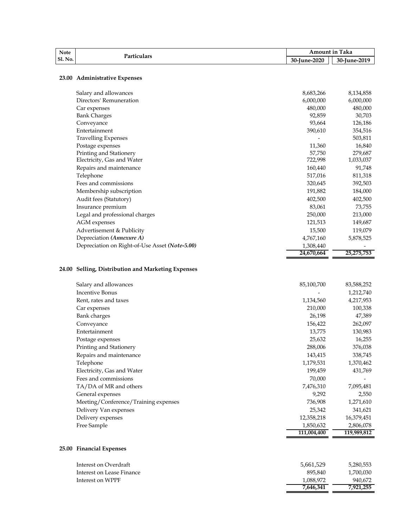| <b>Note</b>                   | m<br>Taka<br>Amount in |              |
|-------------------------------|------------------------|--------------|
| Particulars<br><b>Sl. No.</b> | 30-June-2020           | 30-June-2019 |

# **23.00 Administrative Expenses**

| Salary and allowances                          | 8,683,266  | 8,134,858  |
|------------------------------------------------|------------|------------|
| Directors' Remuneration                        | 6,000,000  | 6,000,000  |
|                                                | 480,000    |            |
| Car expenses                                   |            | 480,000    |
| <b>Bank Charges</b>                            | 92,859     | 30,703     |
| Conveyance                                     | 93,664     | 126,186    |
| Entertainment                                  | 390,610    | 354,516    |
| <b>Travelling Expenses</b>                     |            | 503,811    |
| Postage expenses                               | 11,360     | 16,840     |
| Printing and Stationery                        | 57,750     | 279,687    |
| Electricity, Gas and Water                     | 722,998    | 1,033,037  |
| Repairs and maintenance                        | 160,440    | 91,748     |
| Telephone                                      | 517,016    | 811,318    |
| Fees and commissions                           | 320,645    | 392,503    |
| Membership subscription                        | 191,882    | 184,000    |
| Audit fees (Statutory)                         | 402,500    | 402,500    |
| Insurance premium                              | 83,061     | 73,755     |
| Legal and professional charges                 | 250,000    | 213,000    |
| AGM expenses                                   | 121,513    | 149,687    |
| Advertisement & Publicity                      | 15,500     | 119,079    |
| Depreciation (Annexure A)                      | 4,767,160  | 5,878,525  |
| Depreciation on Right-of-Use Asset (Note-5.00) | 1,308,440  |            |
|                                                | 24,670,664 | 25,275,753 |

# **24.00 Selling, Distribution and Marketing Expenses**

| Salary and allowances                | 85,100,700  | 83,588,252  |
|--------------------------------------|-------------|-------------|
| <b>Incentive Bonus</b>               |             | 1,212,740   |
| Rent, rates and taxes                | 1,134,560   | 4,217,953   |
| Car expenses                         | 210,000     | 100,338     |
| <b>Bank</b> charges                  | 26,198      | 47,389      |
| Conveyance                           | 156,422     | 262,097     |
| Entertainment                        | 13,775      | 130,983     |
| Postage expenses                     | 25,632      | 16,255      |
| Printing and Stationery              | 288,006     | 376,038     |
| Repairs and maintenance              | 143,415     | 338,745     |
| Telephone                            | 1,179,531   | 1,370,462   |
| Electricity, Gas and Water           | 199,459     | 431,769     |
| Fees and commissions                 | 70,000      |             |
| TA/DA of MR and others               | 7,476,310   | 7,095,481   |
| General expenses                     | 9,292       | 2,550       |
| Meeting/Conference/Training expenses | 736,908     | 1,271,610   |
| Delivery Van expenses                | 25,342      | 341,621     |
| Delivery expenses                    | 12,358,218  | 16,379,451  |
| Free Sample                          | 1,850,632   | 2,806,078   |
|                                      | 111,004,400 | 119,989,812 |

# **25.00 Financial Expenses**

| Interest on Overdraft     | 5.661.529 | 5,280,553 |
|---------------------------|-----------|-----------|
| Interest on Lease Finance | 895.840   | 1,700,030 |
| Interest on WPPF          | 1.088.972 | 940.672   |
|                           | 7.646.341 | 7,921,255 |
|                           |           |           |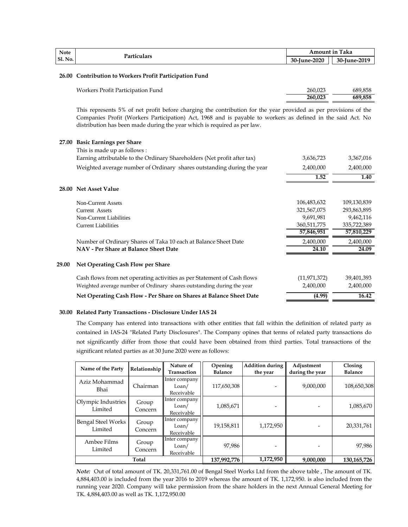| Note<br><b>Sl. No.</b> | n.<br>lare | Taka<br>Amount in                |                                     |
|------------------------|------------|----------------------------------|-------------------------------------|
|                        |            | $-2020$<br>$30^{-7}$<br>.111 n.e | 20 T<br>$-2019$<br>.111 n.e.<br>ັບເ |
|                        |            |                                  |                                     |

#### **26.00 Contribution to Workers Profit Participation Fund**

| Workers Profit Participation Fund | 260.023 | 689.858 |
|-----------------------------------|---------|---------|
|                                   | 260.023 | 689.858 |

This represents 5% of net profit before charging the contribution for the year provided as per provisions of the Companies Profit (Workers Participation) Act, 1968 and is payable to workers as defined in the said Act. No distribution has been made during the year which is required as per law.

| <b>27.00</b> | <b>Basic Earnings per Share</b>                                          |                |             |
|--------------|--------------------------------------------------------------------------|----------------|-------------|
|              | This is made up as follows :                                             |                |             |
|              | Earning attributable to the Ordinary Shareholders (Net profit after tax) | 3,636,723      | 3,367,016   |
|              | Weighted average number of Ordinary shares outstanding during the year   | 2,400,000      | 2,400,000   |
|              |                                                                          | 1.52           | 1.40        |
|              | 28.00 Net Asset Value                                                    |                |             |
|              | Non-Current Assets                                                       | 106,483,632    | 109,130,839 |
|              | Current Assets                                                           | 321,567,075    | 293,863,895 |
|              | Non-Current Liabilities                                                  | 9,691,981      | 9,462,116   |
|              | <b>Current Liabilities</b>                                               | 360,511,775    | 335,722,389 |
|              |                                                                          | 57,846,951     | 57,810,229  |
|              | Number of Ordinary Shares of Taka 10 each at Balance Sheet Date          | 2,400,000      | 2,400,000   |
|              | NAV - Per Share at Balance Sheet Date                                    | 24.10          | 24.09       |
| <b>29.00</b> | Net Operating Cash Flow per Share                                        |                |             |
|              | Cash flows from net operating activities as per Statement of Cash flows  | (11, 971, 372) | 39,401,393  |
|              | Weighted average number of Ordinary shares outstanding during the year   | 2,400,000      | 2,400,000   |
|              | Net Operating Cash Flow - Per Share on Shares at Balance Sheet Date      | (4.99)         | 16.42       |
|              |                                                                          |                |             |

#### **30.00 Related Party Transactions - Disclosure Under IAS 24**

The Company has entered into transactions with other entities that fall within the definition of related party as contained in IAS-24 "Related Party Disclosures". The Company opines that terms of related party transactions do not significantly differ from those that could have been obtained from third parties. Total transactions of the significant related parties as at 30 June 2020 were as follows:

| Name of the Party             | Relationship     | Nature of<br>Transaction             | Opening<br><b>Balance</b> | <b>Addition during</b><br>the year | Adjustment<br>during the year | Closing<br><b>Balance</b> |
|-------------------------------|------------------|--------------------------------------|---------------------------|------------------------------------|-------------------------------|---------------------------|
| Aziz Mohammad<br>Bhai         | Chairman         | Inter company<br>Loan/<br>Receivable | 117,650,308               |                                    | 9,000,000                     | 108,650,308               |
| Olympic Industries<br>Limited | Group<br>Concern | Inter company<br>Loan/<br>Receivable | 1,085,671                 |                                    |                               | 1,085,670                 |
| Bengal Steel Works<br>Limited | Group<br>Concern | Inter company<br>Loan/<br>Receivable | 19,158,811                | 1,172,950                          |                               | 20,331,761                |
| Ambee Films<br>Limited        | Group<br>Concern | Inter company<br>Loan/<br>Receivable | 97,986                    |                                    |                               | 97,986                    |
|                               | Total            |                                      | 137,992,776               | 1,172,950                          | 9.000.000                     | 130,165,726               |

*Note:* Out of total amount of TK. 20,331,761.00 of Bengal Steel Works Ltd from the above table , The amount of TK. 4,884,403.00 is included from the year 2016 to 2019 whereas the amount of TK. 1,172,950. is also included from the running year 2020. Company will take permission from the share holders in the next Annual General Meeting for TK. 4,884,403.00 as well as TK. 1,172,950.00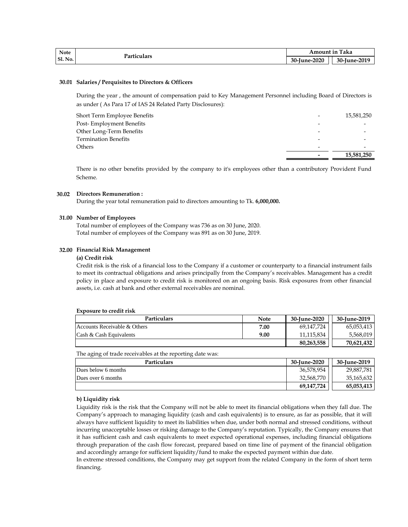| Note           | Particulars | <b>in Taka</b><br>Amount in ' |              |
|----------------|-------------|-------------------------------|--------------|
| <b>Sl. No.</b> |             | 30-June-2020                  | 30-June-2019 |

#### **30.01 Salaries / Perquisites to Directors & Officers**

During the year , the amount of compensation paid to Key Management Personnel including Board of Directors is as under ( As Para 17 of IAS 24 Related Party Disclosures):

| Short Term Employee Benefits | 15,581,250 |
|------------------------------|------------|
| Post- Employment Benefits    |            |
| Other Long-Term Benefits     |            |
| Termination Benefits         |            |
| Others                       |            |
|                              | 15,581,250 |

There is no other benefits provided by the company to it's employees other than a contributory Provident Fund Scheme.

#### **30.02 Directors Remuneration :**

During the year total remuneration paid to directors amounting to Tk. **6,000,000.**

#### **31.00 Number of Employees**

Total number of employees of the Company was 736 as on 30 June, 2020. Total number of employees of the Company was 891 as on 30 June, 2019.

#### **32.00 Financial Risk Management**

#### **(a) Credit risk**

Credit risk is the risk of a financial loss to the Company if a customer or counterparty to a financial instrument fails to meet its contractual obligations and arises principally from the Company's receivables. Management has a credit policy in place and exposure to credit risk is monitored on an ongoing basis. Risk exposures from other financial assets, i.e. cash at bank and other external receivables are nominal.

#### **Exposure to credit risk**

| <b>Particulars</b>           | <b>Note</b> | 30-June-2020 | 30-June-2019 |
|------------------------------|-------------|--------------|--------------|
| Accounts Receivable & Others | 7.00        | 69,147,724   | 65,053,413   |
| Cash & Cash Equivalents      | 9.00        | 11,115,834   | 5,568,019    |
|                              |             | 80,263,558   | 70,621,432   |

The aging of trade receivables at the reporting date was:

| Particulars         | 30-June-2020 | 30-June-2019 |
|---------------------|--------------|--------------|
| Dues below 6 months | 36,578,954   | 29,887,781   |
| Dues over 6 months  | 32,568,770   | 35,165,632   |
|                     | 69,147,724   | 65,053,413   |

#### **b) Liquidity risk**

Liquidity risk is the risk that the Company will not be able to meet its financial obligations when they fall due. The Company's approach to managing liquidity (cash and cash equivalents) is to ensure, as far as possible, that it will always have sufficient liquidity to meet its liabilities when due, under both normal and stressed conditions, without incurring unacceptable losses or risking damage to the Company's reputation. Typically, the Company ensures that it has sufficient cash and cash equivalents to meet expected operational expenses, including financial obligations through preparation of the cash flow forecast, prepared based on time line of payment of the financial obligation and accordingly arrange for sufficient liquidity/fund to make the expected payment within due date.

In extreme stressed conditions, the Company may get support from the related Company in the form of short term financing.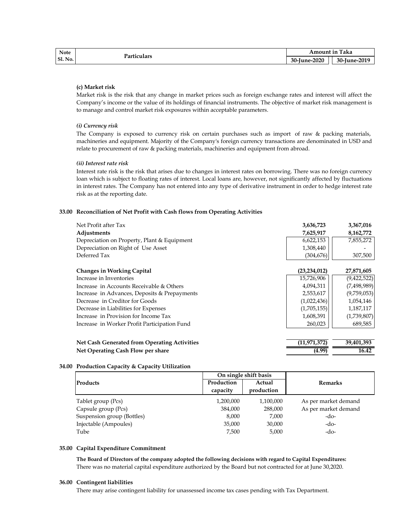| <b>Note</b>    | Particulars | Taka<br>Amount in |              |  |  |
|----------------|-------------|-------------------|--------------|--|--|
| <b>Sl. No.</b> |             | 30-June-2020      | 30-June-2019 |  |  |

#### **(c) Market risk**

Market risk is the risk that any change in market prices such as foreign exchange rates and interest will affect the Company's income or the value of its holdings of financial instruments. The objective of market risk management is to manage and control market risk exposures within acceptable parameters.

#### *(i) Currency risk*

The Company is exposed to currency risk on certain purchases such as import of raw & packing materials, machineries and equipment. Majority of the Company's foreign currency transactions are denominated in USD and relate to procurement of raw & packing materials, machineries and equipment from abroad.

#### *(ii) Interest rate risk*

Interest rate risk is the risk that arises due to changes in interest rates on borrowing. There was no foreign currency loan which is subject to floating rates of interest. Local loans are, however, not significantly affected by fluctuations in interest rates. The Company has not entered into any type of derivative instrument in order to hedge interest rate risk as at the reporting date.

#### **33.00 Reconciliation of Net Profit with Cash flows from Operating Activities**

| Net Profit after Tax                         | 3,636,723      | 3,367,016   |
|----------------------------------------------|----------------|-------------|
| Adjustments                                  | 7,625,917      | 8,162,772   |
| Depreciation on Property, Plant & Equipment  | 6,622,153      | 7,855,272   |
| Depreciation on Right of Use Asset           | 1,308,440      |             |
| Deferred Tax                                 | (304, 676)     | 307,500     |
|                                              |                |             |
| <b>Changes in Working Capital</b>            | (23, 234, 012) | 27,871,605  |
| Increase in Inventories                      | 15,726,906     | (9,422,522) |
| Increase in Accounts Receivable & Others     | 4,094,311      | (7,498,989) |
| Increase in Advances, Deposits & Prepayments | 2,553,617      | (9,759,053) |
| Decrease in Creditor for Goods               | (1,022,436)    | 1,054,146   |
| Decrease in Liabilities for Expenses         | (1,705,155)    | 1,187,117   |
| Increase in Provision for Income Tax         | 1,608,391      | (1,739,807) |
| Increase in Worker Profit Participation Fund | 260,023        | 689,585     |
|                                              |                |             |
| Net Cash Generated from Operating Activities | (11, 971, 372) | 39,401,393  |
| Net Operating Cash Flow per share            | (4.99)         | 16.42       |

#### **34.00 Production Capacity & Capacity Utilization**

|                            |                        | On single shift basis | <b>Remarks</b>       |  |
|----------------------------|------------------------|-----------------------|----------------------|--|
| Products                   | Production<br>capacity | Actual<br>production  |                      |  |
| Tablet group (Pcs)         | 1,200,000              | 1,100,000             | As per market demand |  |
| Capsule group (Pcs)        | 384,000                | 288,000               | As per market demand |  |
| Suspension group (Bottles) | 8,000                  | 7,000                 | -do-                 |  |
| Injectable (Ampoules)      | 35,000                 | 30,000                | -do-                 |  |
| Tube                       | 7,500                  | 5,000                 | -do-                 |  |

#### **35.00 Capital Expenditure Commitment**

**The Board of Directors of the company adopted the following decisions with regard to Capital Expenditures:** There was no material capital expenditure authorized by the Board but not contracted for at June 30,2020.

#### **36.00 Contingent liabilities**

There may arise contingent liability for unassessed income tax cases pending with Tax Department.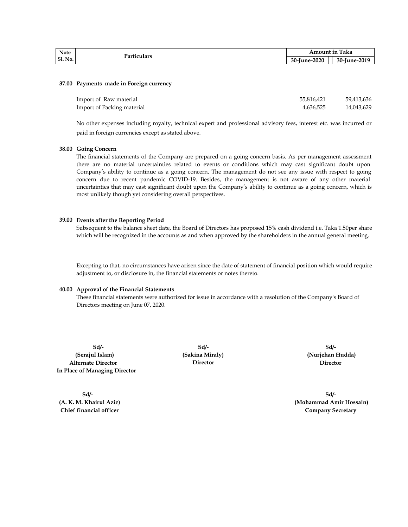| Note           | Particulars | Amount in Taka |              |  |  |
|----------------|-------------|----------------|--------------|--|--|
| <b>Sl. No.</b> |             | 30-June-2020   | 30-June-2019 |  |  |

#### **37.00 Payments made in Foreign currency**

| Import of Raw material     | 55,816,421 | 59,413,636 |
|----------------------------|------------|------------|
| Import of Packing material | 4.636.525  | 14.043.629 |

No other expenses including royalty, technical expert and professional advisory fees, interest etc. was incurred or paid in foreign currencies except as stated above.

#### **38.00 Going Concern**

The financial statements of the Company are prepared on a going concern basis. As per management assessment there are no material uncertainties related to events or conditions which may cast significant doubt upon Company's ability to continue as a going concern. The management do not see any issue with respect to going concern due to recent pandemic COVID-19. Besides, the management is not aware of any other material uncertainties that may cast significant doubt upon the Company's ability to continue as a going concern, which is most unlikely though yet considering overall perspectives.

#### **39.00 Events after the Reporting Period**

Subsequent to the balance sheet date, the Board of Directors has proposed 15% cash dividend i.e. Taka 1.50per share which will be recognized in the accounts as and when approved by the shareholders in the annual general meeting.

Excepting to that, no circumstances have arisen since the date of statement of financial position which would require adjustment to, or disclosure in, the financial statements or notes thereto.

#### **40.00 Approval of the Financial Statements**

These financial statements were authorized for issue in accordance with a resolution of the Company's Board of Directors meeting on June 07, 2020.

**Sd/- Alternate Director In Place of Managing Director (Serajul Islam) (Sakina Miraly)**

**Sd/-**

**Director Director (Nurjehan Hudda) Sd/-**

**Sd/-**

**(A. K. M. Khairul Aziz) (Mohammad Amir Hossain) Chief financial officer Company Secretary Sd/-**